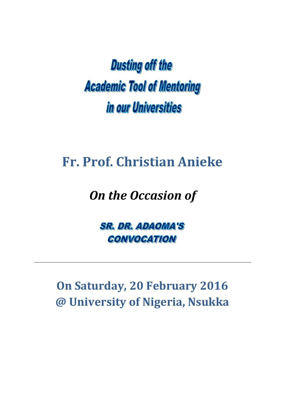**Dusting off the Academic Tool of Mentoring** in our Universities

## **Fr. Prof. Christian Anieke**

## *On the Occasion of*

**SR. DR. ADAOMA'S CONVOCATION** 

**On Saturday, 20 February 2016 @ University of Nigeria, Nsukka**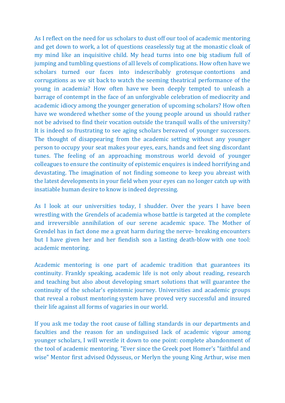As I reflect on the need for us scholars to dust off our tool of academic mentoring and get down to work, a lot of questions ceaselessly tug at the monastic cloak of my mind like an inquisitive child. My head turns into one big stadium full of jumping and tumbling questions of all levels of complications. How often have we scholars turned our faces into indescribably grotesque contortions and corrugations as we sit back to watch the seeming theatrical performance of the young in academia? How often have we been deeply tempted to unleash a barrage of contempt in the face of an unforgivable celebration of mediocrity and academic idiocy among the younger generation of upcoming scholars? How often have we wondered whether some of the young people around us should rather not be advised to find their vocation outside the tranquil walls of the university? It is indeed so frustrating to see aging scholars bereaved of younger successors. The thought of disappearing from the academic setting without any younger person to occupy your seat makes your eyes, ears, hands and feet sing discordant tunes. The feeling of an approaching monstrous world devoid of younger colleagues to ensure the continuity of epistemic enquires is indeed horrifying and devastating. The imagination of not finding someone to keep you abreast with the latest developments in your field when your eyes can no longer catch up with insatiable human desire to know is indeed depressing.

As I look at our universities today, I shudder. Over the years I have been wrestling with the Grendels of academia whose battle is targeted at the complete and irreversible annihilation of our serene academic space. The Mother of Grendel has in fact done me a great harm during the nerve- breaking encounters but I have given her and her fiendish son a lasting death-blow with one tool: academic mentoring.

Academic mentoring is one part of academic tradition that guarantees its continuity. Frankly speaking, academic life is not only about reading, research and teaching but also about developing smart solutions that will guarantee the continuity of the scholar's epistemic journey. Universities and academic groups that reveal a robust mentoring system have proved very successful and insured their life against all forms of vagaries in our world.

If you ask me today the root cause of falling standards in our departments and faculties and the reason for an undisguised lack of academic vigour among younger scholars, I will wrestle it down to one point: complete abandonment of the tool of academic mentoring. "Ever since the Greek poet Homer's "faithful and wise" Mentor first advised Odysseus, or Merlyn the young King Arthur, wise men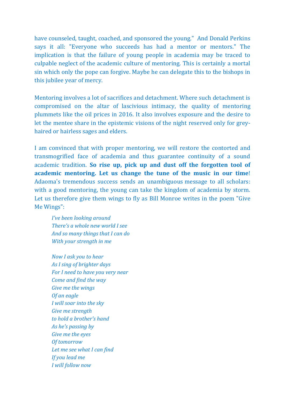have counseled, taught, coached, and sponsored the young." And Donald Perkins says it all: "Everyone who succeeds has had a mentor or mentors." The implication is that the failure of young people in academia may be traced to culpable neglect of the academic culture of mentoring. This is certainly a mortal sin which only the pope can forgive. Maybe he can delegate this to the bishops in this jubilee year of mercy.

Mentoring involves a lot of sacrifices and detachment. Where such detachment is compromised on the altar of lascivious intimacy, the quality of mentoring plummets like the oil prices in 2016. It also involves exposure and the desire to let the mentee share in the epistemic visions of the night reserved only for greyhaired or hairless sages and elders.

I am convinced that with proper mentoring, we will restore the contorted and transmogrified face of academia and thus guarantee continuity of a sound academic tradition. **So rise up, pick up and dust off the forgotten tool of academic mentoring. Let us change the tune of the music in our time**! Adaoma's tremendous success sends an unambiguous message to all scholars: with a good mentoring, the young can take the kingdom of academia by storm. Let us therefore give them wings to fly as Bill Monroe writes in the poem "Give Me Wings":

*I've been looking around There's a whole new world I see And so many things that I can do With your strength in me*

*Now I ask you to hear As I sing of brighter days For I need to have you very near Come and find the way Give me the wings Of an eagle I will soar into the sky Give me strength to hold a brother's hand As he's passing by Give me the eyes Of tomorrow Let me see what I can find If you lead me I will follow now*